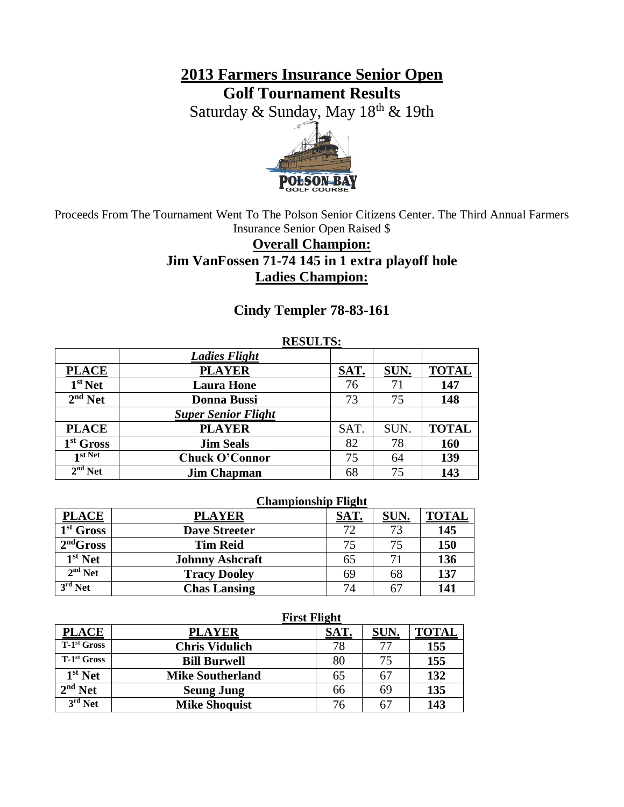**2013 Farmers Insurance Senior Open Golf Tournament Results**

Saturday & Sunday, May 18<sup>th</sup> & 19th



Proceeds From The Tournament Went To The Polson Senior Citizens Center. The Third Annual Farmers Insurance Senior Open Raised \$

## **Overall Champion: Jim VanFossen 71-74 145 in 1 extra playoff hole Ladies Champion:**

### **Cindy Templer 78-83-161**

#### **RESULTS:**

|                       | <b>Ladies Flight</b>       |      |      |              |
|-----------------------|----------------------------|------|------|--------------|
| <b>PLACE</b>          | <b>PLAYER</b>              | SAT. | SUN. | <b>TOTAL</b> |
| $1st$ Net             | <b>Laura Hone</b>          | 76   | 71   | 147          |
| $2nd$ Net             | <b>Donna Bussi</b>         | 73   | 75   | 148          |
|                       | <b>Super Senior Flight</b> |      |      |              |
| <b>PLACE</b>          | <b>PLAYER</b>              | SAT. | SUN. | <b>TOTAL</b> |
| 1 <sup>st</sup> Gross | <b>Jim Seals</b>           | 82   | 78   | 160          |
| 1 st Net              | <b>Chuck O'Connor</b>      | 75   | 64   | 139          |
| $2nd$ Net             | <b>Jim Chapman</b>         | 68   | 75   | 143          |

#### **Championship Flight**

| <b>PLACE</b> | <b>PLAYER</b>          | SAT. | SUN. | <b>TOTAL</b> |
|--------------|------------------------|------|------|--------------|
| $1st$ Gross  | <b>Dave Streeter</b>   | 72   | 73   | 145          |
| $2nd$ Gross  | <b>Tim Reid</b>        | 75   | 75   | 150          |
| $1st$ Net    | <b>Johnny Ashcraft</b> | 65   | 7)   | 136          |
| $2nd$ Net    | <b>Tracy Dooley</b>    | 69   | 68   | 137          |
| $3rd$ Net    | <b>Chas Lansing</b>    | 74   | 67   | 141          |

|               | FIFST FIIght            |      |      |              |
|---------------|-------------------------|------|------|--------------|
| <b>PLACE</b>  | <b>PLAYER</b>           | SAT. | SUN. | <b>TOTAL</b> |
| $T-1st$ Gross | <b>Chris Vidulich</b>   | 78   |      | 155          |
| $T-1st$ Gross | <b>Bill Burwell</b>     | 80   |      | 155          |
| $1st$ Net     | <b>Mike Southerland</b> |      |      | 132          |
| $2nd$ Net     | <b>Seung Jung</b>       | 66   | 69   | 135          |
| $3rd$ Net     | <b>Mike Shoquist</b>    | 76   |      | 143          |

### **First Flight**